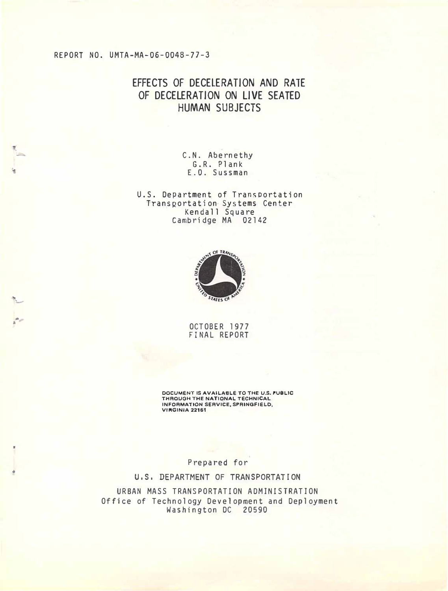REPORT NO. UMTA-MA-06-004S-77-3

•

•

 $\mathbf{r}$ 

•

•

# EFFECTS OF DECELERATION AND RATE OF DECELERATION ON LIVE SEATED HUMAN SUBJECTS

C. N. Abernethy G.R. Plank £.0. Sussman

U.S. Department of Transportation Transgortation Systems Center Kendall Square Cambridge MA 02142



OCTOSER 1977 FINAL REPORT

DOCUMENT IS AVAILABLE TO THE U.S. FUBLIC<br>THROUGH THE NATIONAL TECHNICAL<br>INFORMATION SERVICE, SPRINGFIELD. **VIRGINIA 22161** 

Prepared for

U.S. DEPARTMENT OF TRANSPORTATION

URBAN MASS TRANSPORTATION ADMINISTRATION Office of Technology Development and Deployment Washington DC 20590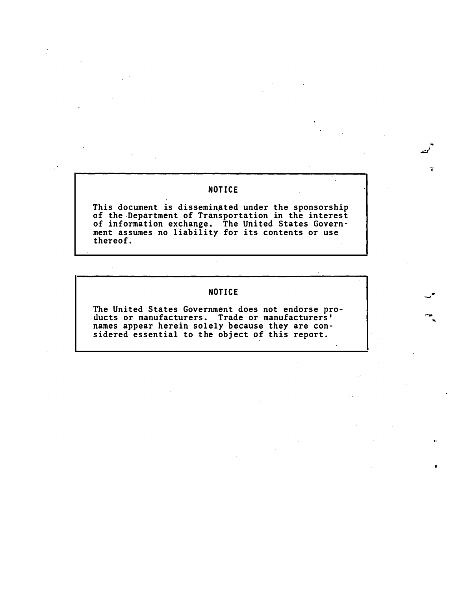## NOTICE

 $\mathbf{r}$ 

This document is disseminated under the sponsorship of the Department of Transportation in the interest of information' exchange. The United States Government assumes no liability for its contents or use thereof.

#### NOTICE

--- .

The United States Government does not endorse products or manufacturers. Trade or manufacturers' names appear herein solely because they are considered essential to the object of this report.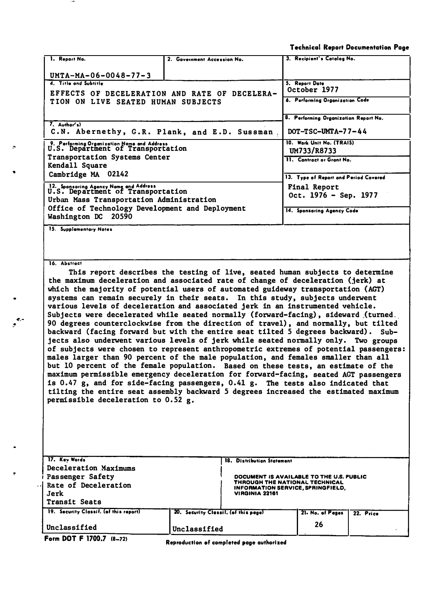**Technical Report Documentation Page** 

| 1. Report No.                                                                                                                                                                                                                                                                                                                                                                                                                                                                                                                                                                                                                                                                                                                                                                                                                                                                                                                                                                                                                                                                                          |                                               | 2. Government Accession No.          |                                                                                                                                                                        |                |                                       |                                       |
|--------------------------------------------------------------------------------------------------------------------------------------------------------------------------------------------------------------------------------------------------------------------------------------------------------------------------------------------------------------------------------------------------------------------------------------------------------------------------------------------------------------------------------------------------------------------------------------------------------------------------------------------------------------------------------------------------------------------------------------------------------------------------------------------------------------------------------------------------------------------------------------------------------------------------------------------------------------------------------------------------------------------------------------------------------------------------------------------------------|-----------------------------------------------|--------------------------------------|------------------------------------------------------------------------------------------------------------------------------------------------------------------------|----------------|---------------------------------------|---------------------------------------|
|                                                                                                                                                                                                                                                                                                                                                                                                                                                                                                                                                                                                                                                                                                                                                                                                                                                                                                                                                                                                                                                                                                        |                                               |                                      |                                                                                                                                                                        |                | 3. Recipient's Catalog No.            |                                       |
| $UMTA-MA-06-0048-77-3$                                                                                                                                                                                                                                                                                                                                                                                                                                                                                                                                                                                                                                                                                                                                                                                                                                                                                                                                                                                                                                                                                 |                                               |                                      |                                                                                                                                                                        |                |                                       |                                       |
| 4. Title and Subtitle                                                                                                                                                                                                                                                                                                                                                                                                                                                                                                                                                                                                                                                                                                                                                                                                                                                                                                                                                                                                                                                                                  |                                               |                                      |                                                                                                                                                                        | 5. Report Date | October 1977                          |                                       |
|                                                                                                                                                                                                                                                                                                                                                                                                                                                                                                                                                                                                                                                                                                                                                                                                                                                                                                                                                                                                                                                                                                        | EFFECTS OF DECELERATION AND RATE OF DECELERA- |                                      |                                                                                                                                                                        |                |                                       |                                       |
| TION ON LIVE SEATED HUMAN SUBJECTS                                                                                                                                                                                                                                                                                                                                                                                                                                                                                                                                                                                                                                                                                                                                                                                                                                                                                                                                                                                                                                                                     |                                               |                                      |                                                                                                                                                                        |                | 6. Performing Organization Code       |                                       |
|                                                                                                                                                                                                                                                                                                                                                                                                                                                                                                                                                                                                                                                                                                                                                                                                                                                                                                                                                                                                                                                                                                        |                                               |                                      |                                                                                                                                                                        |                | 8. Performing Organization Report No. |                                       |
| 7. Author's)<br>C.N. Abernethy, G.R. Plank, and E.D. Sussman                                                                                                                                                                                                                                                                                                                                                                                                                                                                                                                                                                                                                                                                                                                                                                                                                                                                                                                                                                                                                                           |                                               |                                      |                                                                                                                                                                        |                | DOT-TSC-UMTA-77-44                    |                                       |
| 9. Performing Organization Name and Address<br>U.S. Department of Transportation                                                                                                                                                                                                                                                                                                                                                                                                                                                                                                                                                                                                                                                                                                                                                                                                                                                                                                                                                                                                                       |                                               |                                      |                                                                                                                                                                        |                | 10. Work Unit No. (TRAIS)             |                                       |
| Transportation Systems Center                                                                                                                                                                                                                                                                                                                                                                                                                                                                                                                                                                                                                                                                                                                                                                                                                                                                                                                                                                                                                                                                          |                                               |                                      |                                                                                                                                                                        |                | UM733/R8733                           |                                       |
| <b>Kendall Square</b>                                                                                                                                                                                                                                                                                                                                                                                                                                                                                                                                                                                                                                                                                                                                                                                                                                                                                                                                                                                                                                                                                  |                                               |                                      |                                                                                                                                                                        |                | 11. Contract or Grant No.             |                                       |
| Cambridge MA 02142                                                                                                                                                                                                                                                                                                                                                                                                                                                                                                                                                                                                                                                                                                                                                                                                                                                                                                                                                                                                                                                                                     |                                               |                                      |                                                                                                                                                                        |                |                                       |                                       |
|                                                                                                                                                                                                                                                                                                                                                                                                                                                                                                                                                                                                                                                                                                                                                                                                                                                                                                                                                                                                                                                                                                        |                                               |                                      |                                                                                                                                                                        |                |                                       | 13. Type of Report and Period Covered |
| 12. Sponsoring Agency Name and Address<br>U.S. Department of Transportation                                                                                                                                                                                                                                                                                                                                                                                                                                                                                                                                                                                                                                                                                                                                                                                                                                                                                                                                                                                                                            |                                               |                                      |                                                                                                                                                                        |                | <b>Final Report</b>                   |                                       |
| Urban Mass Transportation Administration                                                                                                                                                                                                                                                                                                                                                                                                                                                                                                                                                                                                                                                                                                                                                                                                                                                                                                                                                                                                                                                               |                                               |                                      |                                                                                                                                                                        |                | Oct. 1976 - Sep. 1977                 |                                       |
| Office of Technology Development and Deployment                                                                                                                                                                                                                                                                                                                                                                                                                                                                                                                                                                                                                                                                                                                                                                                                                                                                                                                                                                                                                                                        |                                               |                                      |                                                                                                                                                                        |                |                                       |                                       |
| Washington DC 20590                                                                                                                                                                                                                                                                                                                                                                                                                                                                                                                                                                                                                                                                                                                                                                                                                                                                                                                                                                                                                                                                                    |                                               |                                      |                                                                                                                                                                        |                | 14. Sponsoring Agency Code            |                                       |
| 15. Supplementary Notes                                                                                                                                                                                                                                                                                                                                                                                                                                                                                                                                                                                                                                                                                                                                                                                                                                                                                                                                                                                                                                                                                |                                               |                                      |                                                                                                                                                                        |                |                                       |                                       |
|                                                                                                                                                                                                                                                                                                                                                                                                                                                                                                                                                                                                                                                                                                                                                                                                                                                                                                                                                                                                                                                                                                        |                                               |                                      |                                                                                                                                                                        |                |                                       |                                       |
| This report describes the testing of live, seated human subjects to determine<br>the maximum deceleration and associated rate of change of deceleration (jerk) at<br>which the majority of potential users of automated guideway transportation (AGT)                                                                                                                                                                                                                                                                                                                                                                                                                                                                                                                                                                                                                                                                                                                                                                                                                                                  |                                               |                                      |                                                                                                                                                                        |                |                                       |                                       |
| systems can remain securely in their seats. In this study, subjects underwent<br>various levels of deceleration and associated jerk in an instrumented vehicle.<br>Subjects were decelerated while seated normally (forward-facing), sideward (turned.<br>90 degrees counterclockwise from the direction of travel), and normally, but tilted<br>backward (facing forward but with the entire seat tilted 5 degrees backward). Sub-<br>jects also underwent various levels of jerk while seated normally only. Two groups<br>of subjects were chosen to represent anthropometric extremes of potential passengers:<br>males larger than 90 percent of the male population, and females smaller than all<br>but 10 percent of the female population. Based on these tests, an estimate of the<br>maximum permissible emergency deceleration for forward-facing, seated AGT passengers<br>is 0.47 g, and for side-facing passengers, 0.41 g. The tests also indicated that<br>tilting the entire seat assembly backward 5 degrees increased the estimated maximum<br>permissible deceleration to 0.52 g. |                                               |                                      |                                                                                                                                                                        |                |                                       |                                       |
| 17. Kev Words<br>Deceleration Maximums<br>Passenger Safety<br>Rate of Deceleration<br>Jerk<br>Transit Seats                                                                                                                                                                                                                                                                                                                                                                                                                                                                                                                                                                                                                                                                                                                                                                                                                                                                                                                                                                                            |                                               |                                      | 18. Distribution Statement<br>DOCUMENT IS AVAILABLE TO THE U.S. PUBLIC<br>THROUGH THE NATIONAL TECHNICAL<br>INFORMATION SERVICE, SPRINGFIELD,<br><b>VIRGINIA 22161</b> |                |                                       |                                       |
| 19. Security Classif. (of this report)                                                                                                                                                                                                                                                                                                                                                                                                                                                                                                                                                                                                                                                                                                                                                                                                                                                                                                                                                                                                                                                                 |                                               | 20. Security Classif. (of this page) |                                                                                                                                                                        |                | 21. No. of Pages                      | 22. Price                             |
| Unclassified                                                                                                                                                                                                                                                                                                                                                                                                                                                                                                                                                                                                                                                                                                                                                                                                                                                                                                                                                                                                                                                                                           |                                               | Unclassified                         |                                                                                                                                                                        |                | 26                                    |                                       |

 $\sim$ 

 $\sigma$ 

 $\bullet$ 

 $\cdot$ 

 $\bullet$ 

 $\mathcal{L}(\mathbf{r})$ 

Reproduction of completed page authorized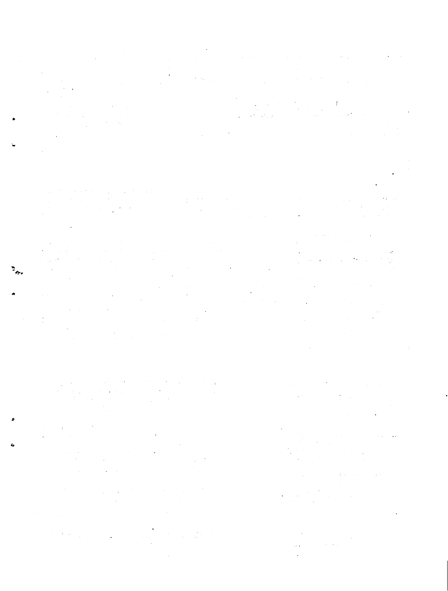$\begin{split} \mathbf{E}^{(1)}_{\mathbf{r}}(\mathbf{r}) & = \mathbf{E}^{(1)}_{\mathbf{r}}(\mathbf{r}) \mathbf{E}^{(1)}_{\mathbf{r}}(\mathbf{r}) = \frac{\partial \mathbf{E}^{(1)}_{\mathbf{r}}(\mathbf{r})}{\partial \mathbf{r}} \\ & = \frac{\partial \mathbf{E}^{(1)}_{\mathbf{r}}(\mathbf{r})}{\partial \mathbf{r}} \mathbf{E}^{(1)}_{\mathbf{r}}(\mathbf{r}) = \frac{\partial \mathbf{E}^{(1)}_{\mathbf{r}}(\mathbf{r})}{\partial \mathbf{r}} \mathbf{E}^{($ 

 $\label{eq:2.1} \frac{1}{2}\sum_{i=1}^n\frac{1}{2}\sum_{i=1}^n\frac{1}{2}\sum_{i=1}^n\frac{1}{2}\sum_{i=1}^n\frac{1}{2}\sum_{i=1}^n\frac{1}{2}\sum_{i=1}^n\frac{1}{2}\sum_{i=1}^n\frac{1}{2}\sum_{i=1}^n\frac{1}{2}\sum_{i=1}^n\frac{1}{2}\sum_{i=1}^n\frac{1}{2}\sum_{i=1}^n\frac{1}{2}\sum_{i=1}^n\frac{1}{2}\sum_{i=1}^n\frac{1}{2}\sum_{i=1}^n\$ 

 $\label{eq:2.1} \mathcal{L}^{\text{max}}_{\text{max}}(\mathbf{r},\mathbf{r}) = \mathcal{L}^{\text{max}}_{\text{max}}(\mathbf{r},\mathbf{r})$  $\mathcal{L}^{\text{max}}_{\text{max}}$  and  $\mathcal{L}^{\text{max}}_{\text{max}}$ 

 $\label{eq:2.1} \frac{1}{\sqrt{2}}\left(\frac{1}{\sqrt{2}}\right)^{2} \left(\frac{1}{\sqrt{2}}\right)^{2} \left(\frac{1}{\sqrt{2}}\right)^{2} \left(\frac{1}{\sqrt{2}}\right)^{2} \left(\frac{1}{\sqrt{2}}\right)^{2} \left(\frac{1}{\sqrt{2}}\right)^{2} \left(\frac{1}{\sqrt{2}}\right)^{2} \left(\frac{1}{\sqrt{2}}\right)^{2} \left(\frac{1}{\sqrt{2}}\right)^{2} \left(\frac{1}{\sqrt{2}}\right)^{2} \left(\frac{1}{\sqrt{2}}\right)^{2} \left(\$ 

 $\label{eq:2.1} \frac{1}{2}\sum_{i=1}^n\frac{1}{2}\sum_{i=1}^n\frac{1}{2}\sum_{i=1}^n\frac{1}{2}\sum_{i=1}^n\frac{1}{2}\sum_{i=1}^n\frac{1}{2}\sum_{i=1}^n\frac{1}{2}\sum_{i=1}^n\frac{1}{2}\sum_{i=1}^n\frac{1}{2}\sum_{i=1}^n\frac{1}{2}\sum_{i=1}^n\frac{1}{2}\sum_{i=1}^n\frac{1}{2}\sum_{i=1}^n\frac{1}{2}\sum_{i=1}^n\frac{1}{2}\sum_{i=1}^n\$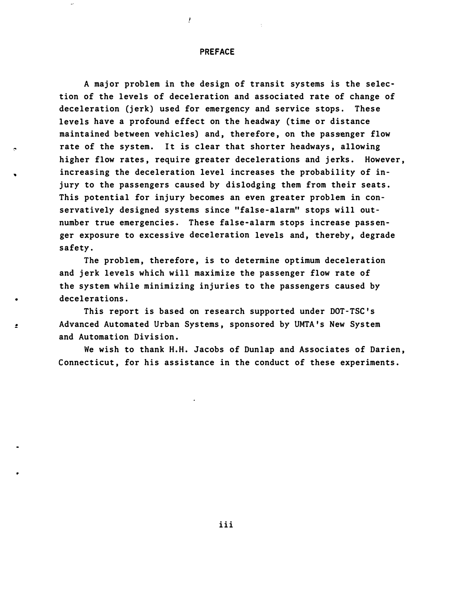#### PREFACE

 $\cdot$ 

A major problem in the design of transit systems is the selection of the levels of deceleration and associated rate of change of deceleration (jerk) used for emergency and service stops. These levels have a profound effect on the headway (time or distance maintained between vehicles) and, therefore, on the passenger flow rate of the system. It is clear that shorter headways, allowing higher flow rates, require greater decelerations and jerks. However, increasing the deceleration level increases the probability of injury to the passengers caused by dislodging them from their seats. This potential for injury becomes an even greater problem in conservatively designed systems since "false-alarm" stops will outnumber true emergencies. These false-alarm stops increase passenger exposure to excessive deceleration levels and, thereby, degrade safety.

The problem, therefore, is to determine optimum deceleration and jerk levels which will maximize the passenger flow rate of the system while minimizing injuries to the passengers caused by decelerations .

This report is based on research supported under DOT-TSC's Advanced Automated Urban Systems, sponsored by UMTA's New System and Automation Division.

•

 $\bullet$ 

We wish to thank H.H. Jacobs of Dunlap and Associates of Darien, Connecticut, for his assistance in the conduct of these experiments.

iii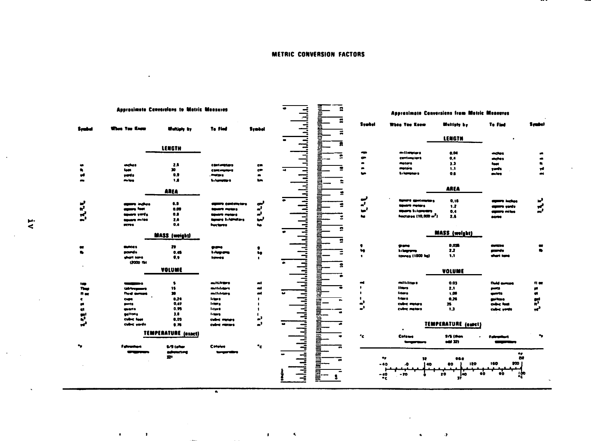#### **METRIC CONVERSION FACTORS**

---

|                 |                         | Approximate Cenvertions to Metric Measures |                                       |        | 2                                                                                                                                                                   |                        | Apprazimato Conversions from Motric Manaures |                                     |                                          |                           |
|-----------------|-------------------------|--------------------------------------------|---------------------------------------|--------|---------------------------------------------------------------------------------------------------------------------------------------------------------------------|------------------------|----------------------------------------------|-------------------------------------|------------------------------------------|---------------------------|
| <b>Symbol</b>   | When You Know           | <b>Waltiply by</b>                         | To Fied                               | Stabel | <b>Bullion State State State State State</b><br>alah dada dada dalah dalam beberapa dalam berasa dalam berasa dalam berasa dalam berasa dalam berasa dalam ber<br>x | Svakel                 | <b>When Tee Keem</b>                         | <i><b>Meitisty by</b></i><br>LENGTN | To Fied<br>$\bullet$                     | Sende)                    |
|                 |                         | LENGTH                                     |                                       |        | Я                                                                                                                                                                   |                        |                                              |                                     |                                          |                           |
|                 |                         |                                            |                                       |        |                                                                                                                                                                     | ┯                      | milientars                                   | 0.00                                | -das                                     | m                         |
|                 |                         |                                            |                                       |        | ∙                                                                                                                                                                   | $\bullet$              | continuators                                 | 0,4                                 | ades                                     | $\blacksquare$            |
| ٠               | mches                   | 2.5                                        | <b>CONTINUES</b>                      | m      |                                                                                                                                                                     | $\bullet$              | maters                                       | 1.3                                 | foot                                     | $\pmb{\mathsf{N}}$        |
| n               | loon                    | ×                                          | <b>COMMERCIAL</b>                     | œ      | مہ                                                                                                                                                                  | $\blacksquare$         | maters                                       | 1.1                                 | yard's                                   | $\frac{1}{2}$             |
| ಕ               | yat s                   | 0.9                                        | . maters                              | m      |                                                                                                                                                                     | <b>MB</b>              | <b>b</b> ildroptory                          | 0.6                                 | miles                                    |                           |
| œ               | وواءه                   | 1,8                                        | <b>Sylventries</b>                    | m      | È                                                                                                                                                                   |                        |                                              |                                     |                                          |                           |
|                 |                         | <b>AREA</b>                                |                                       |        | ≝                                                                                                                                                                   |                        |                                              | AREA                                |                                          |                           |
|                 |                         |                                            |                                       |        |                                                                                                                                                                     |                        |                                              |                                     |                                          |                           |
|                 | aan ideo                | 6.5                                        | <b>CONTRACTOR</b>                     | ☞      |                                                                                                                                                                     | ىي                     | <b>REPORT CONTINUES.</b>                     | 0.16                                | ويدارها بالتنبي                          | د.                        |
| 1425            | aan ku                  | 0.09                                       | <b>SQUARE PICTURE</b>                 | n,     | 2                                                                                                                                                                   | a,                     | <b>SEMITO PANDA</b>                          | 1.2                                 | وإيجوب وسيبيع                            | $\overline{n}^2$          |
|                 | aquara yarda            | 0.0                                        | <b>GENERAL PRODUCT</b>                | ر      |                                                                                                                                                                     | 'ت                     | man historian                                | 0.4                                 | وبائه يسببه                              |                           |
|                 | <b>GENERAL PRIZZON</b>  | 2,6                                        | <b>Games Echanology</b>               | بی     | ٠                                                                                                                                                                   | b.                     | $h_{\text{ect} = 0.10,000} =^7 h$            | 2.5                                 | 0000                                     |                           |
|                 | <b>DOM:</b>             | 0.4                                        | <b><i><u>became</u></i></b>           | ۰.     |                                                                                                                                                                     |                        |                                              |                                     |                                          |                           |
|                 |                         | <b>MASS</b> (weight)                       |                                       |        | nekesterbindhahad rahasi padarahada ada bahar bahan bahan bahasi rahasi ada<br>Ξ                                                                                    |                        |                                              | <b>MASS (weight)</b>                |                                          |                           |
|                 |                         |                                            |                                       |        | 2                                                                                                                                                                   |                        |                                              |                                     |                                          |                           |
|                 | <b>BURGIS</b>           | n                                          | 90%                                   | ٠      |                                                                                                                                                                     |                        | وصوي                                         | 0.035                               | <b>CONTRACTOR</b>                        |                           |
|                 | acurul s                | 0.65                                       | <b>h</b> forgotte                     | ٩e     | ⋍                                                                                                                                                                   | w                      | hilayyay                                     | 22                                  | gands                                    |                           |
|                 | shart tant              | 0.9                                        | towes.                                | ٠      |                                                                                                                                                                     | ٠                      | towes (1000 lig)                             | 1.1                                 | shart tang                               |                           |
|                 | (2000 Th)               |                                            |                                       |        | 9                                                                                                                                                                   |                        |                                              |                                     |                                          |                           |
|                 |                         | VOLUME                                     |                                       |        |                                                                                                                                                                     |                        |                                              | VOLUME                              |                                          |                           |
|                 |                         |                                            |                                       |        |                                                                                                                                                                     |                        |                                              |                                     |                                          |                           |
| tip             | <u>ا کانال</u>          | \$                                         | a, hiti <b>y</b> rg                   | m١     |                                                                                                                                                                     | ┥                      | millilite a                                  | 0.03                                | <b><i><u><b>Rold accurat</b></u></i></b> | 11 OC                     |
| They            | $\frac{1}{2}$           | 15                                         | <b><i><u>authory</u></i></b>          | a١     |                                                                                                                                                                     | $\mathbf{r}$           | limes                                        | 2.1                                 | pints                                    | ₽                         |
| $n =$           | <b>The of surround</b>  | m                                          | military                              |        |                                                                                                                                                                     |                        | litera                                       | 1.00                                | ants                                     | $\blacksquare$            |
| ¢               | <b>CHORE</b>            | 0.20                                       | letara.                               |        |                                                                                                                                                                     | $\bullet$ <sup>1</sup> | trase.                                       | 0.26                                | and function                             | $\overline{\mathbf{h}^2}$ |
| u               | parti                   | 0.47                                       | <b>Intern</b>                         |        |                                                                                                                                                                     | J,                     | <b>Cubic motors</b>                          | n                                   | codeix foot                              | ್                         |
| 4t              | <b>GUESTS</b><br>antima | 0.95<br>1.8                                | letyre                                |        |                                                                                                                                                                     |                        | cubic meters                                 | 1.3                                 | cubic yords                              |                           |
|                 | cubic fast              |                                            | <b>I</b> -ters                        | د.     |                                                                                                                                                                     |                        |                                              |                                     |                                          |                           |
| $\ddot{\bf{r}}$ | cubic yards             | 0,01<br>0.76                               | cubic myters<br><b>Cubric matters</b> | د.     |                                                                                                                                                                     |                        |                                              | <b>TEMPERATURE (ORDER)</b>          |                                          |                           |
|                 |                         |                                            |                                       |        |                                                                                                                                                                     |                        |                                              |                                     |                                          |                           |
|                 |                         | TEMPERATURE (oxact)                        |                                       |        | الماما بالماما والماما والمامات<br>Existent for a large contract of the party.<br>٠                                                                                 | ۰c                     | Colcina                                      | <b>9/5 (than</b>                    | <b>Falsador</b>                          | ۰,                        |
| ۰.              | f drahan                | <b>S/S lotter</b>                          | Cotoleg                               | ۰e     |                                                                                                                                                                     |                        | $\overline{\phantom{a}}$                     | $-127$                              |                                          |                           |
|                 |                         | <b>MONTHS</b>                              |                                       |        |                                                                                                                                                                     |                        |                                              |                                     |                                          |                           |
|                 |                         | 20                                         |                                       |        |                                                                                                                                                                     |                        | $\bullet$<br>92                              | 98.0                                | .,<br>82                                 |                           |
|                 |                         |                                            |                                       |        |                                                                                                                                                                     |                        | 140<br>-40<br>۰O                             | 180<br>80                           | 200<br>160                               |                           |
|                 |                         |                                            |                                       |        |                                                                                                                                                                     |                        |                                              |                                     |                                          |                           |
|                 |                         |                                            |                                       |        |                                                                                                                                                                     |                        | $-10$<br>٠                                   | $\frac{1}{37}$<br>20                | းဇ်<br>90<br>60                          |                           |
|                 |                         |                                            |                                       |        |                                                                                                                                                                     |                        | $-22$                                        |                                     |                                          |                           |
|                 |                         |                                            |                                       |        |                                                                                                                                                                     |                        |                                              |                                     |                                          |                           |

 $\langle \!\!\langle \, \cdot \, \rangle\!\!\rangle$ 

 $\blacksquare$ 

 $\boldsymbol{\cdot}$ 

 $\bullet$ 

 $\overline{\cdot}$ 

 $\overline{a}$ 

 $\sim$   $\sim$ 

 $\bullet$ 

 $\cdot$ 

 $\ddot{\bm{z}}$ 

 $\sim$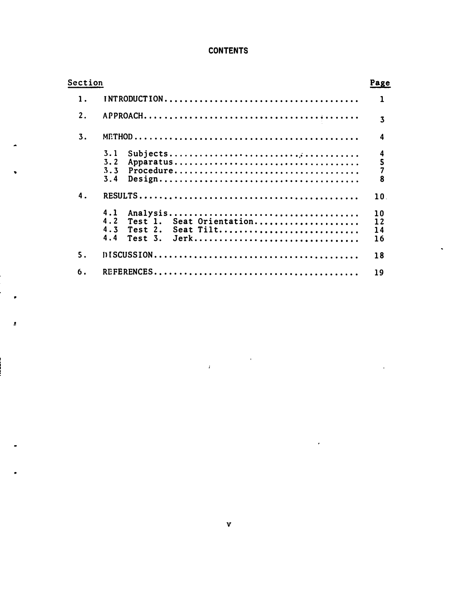## **CONTENTS**

| Section        |                                                                                           | Page                                    |
|----------------|-------------------------------------------------------------------------------------------|-----------------------------------------|
| $\mathbf{1}$ . |                                                                                           | 1                                       |
| 2.             |                                                                                           | 3                                       |
| 3.             |                                                                                           | 4                                       |
|                | 3.1<br>3.2<br>3.3<br>3.4                                                                  | $\frac{4}{5}$<br>8                      |
| 4.             | 4.1<br>4.2<br>Test 1. Seat Orientation<br>4.3<br>Test 2. Seat Tilt<br>4.4<br>Test 3. Jerk | 10 <sub>1</sub><br>10<br>12<br>14<br>16 |
| 5.             |                                                                                           | 18                                      |
| 6.             |                                                                                           | 19                                      |

•

!

 $\mathcal{L}^{\text{max}}_{\text{max}}$ 

 $\bar{J}$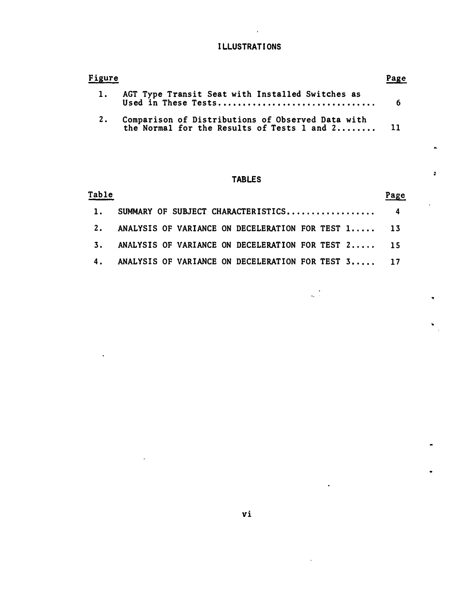# ILLUSTRATIONS

| Figure |                                                                                                     | Page |
|--------|-----------------------------------------------------------------------------------------------------|------|
| 1.     | AGT Type Transit Seat with Installed Switches as                                                    |      |
|        | Comparison of Distributions of Observed Data with<br>the Normal for the Results of Tests 1 and 2 11 |      |

## TABLES

..

 $\pmb{v}$ 

..

| Table |                                                       | Page |
|-------|-------------------------------------------------------|------|
|       | 1. SUMMARY OF SUBJECT CHARACTERISTICS 4               |      |
|       | 2. ANALYSIS OF VARIANCE ON DECELERATION FOR TEST 1 13 |      |
| 3.    | ANALYSIS OF VARIANCE ON DECELERATION FOR TEST 2 15    |      |
|       | 4. ANALYSIS OF VARIANCE ON DECELERATION FOR TEST 3 17 |      |

 $\frac{1}{2}$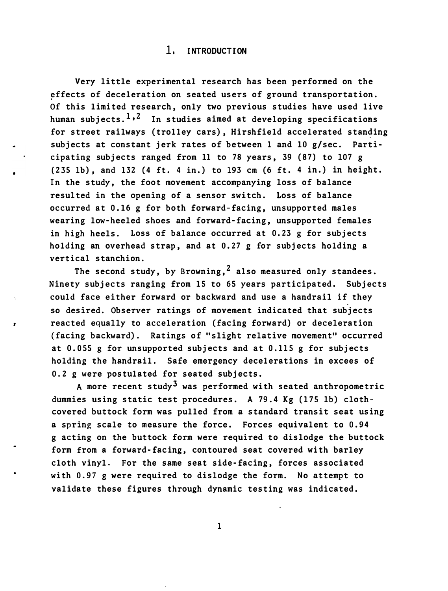## 1. INTRODUCTION

Very little experimental research has been performed on the �ffects of deceleration on seated users of ground transportation. Of this limited research, only two previous studies have used live human subjects.<sup>1,2</sup> In studies aimed at developing specifications for street railways (trolley cars), Hirshfield accelerated stan�ing subjects at constant jerk rates of between 1 and 10 g/sec. Participating subjects ranged from 11 to 78 years, 39 (87) to 107 g (235 1b), and 132 (4 ft. 4 in.) to 193 cm (6 ft. 4 in.) in height. In the study, the foot movement accompanying loss of balance resulted in the opening of a sensor switch. Loss of balance occurred at 0.16 g for both forward-facing, unsupported males wearing low-heeled shoes and forward-facing, unsupported females in high heels. Loss of balance occurred at 0.23 g for subjects holding an overhead strap, and at 0.27 g for subjects holding a vertical stanchion.

The second study, by Browning,<sup>2</sup> also measured only standees. Ninety subjects ranging from 15 to 65 years participated. Subjects could face either forward or backward and use a handrail if they . so desired. Observer ratings of movement indicated that subjects <sup>f</sup>reacted equally to acceleration (facing forward) or deceleration (facing backward). Ratings of "slight relative movement" occurred at 0.055 g for unsupported subjects and at 0.115 g for subjects holding the handrail. Safe emergency decelerations in excees of 0.2 g were postulated for seated subjects.

A more recent study<sup>3</sup> was performed with seated anthropometric dummies using static test procedures. A 79.4 Kg (175 lb) clothcovered buttock form was pulled from a standard transit seat using a spring scale to measure the force. Forces equivalent to 0.94 g acting on the buttock form were required to dislodge the buttock form from a forward-facing, contoured seat covered with barley cloth vinyl. For the same seat side-facing, forces associated with 0.97 g were required to dislodge the form. No attempt to validate these figures through dynamic testing was indicated.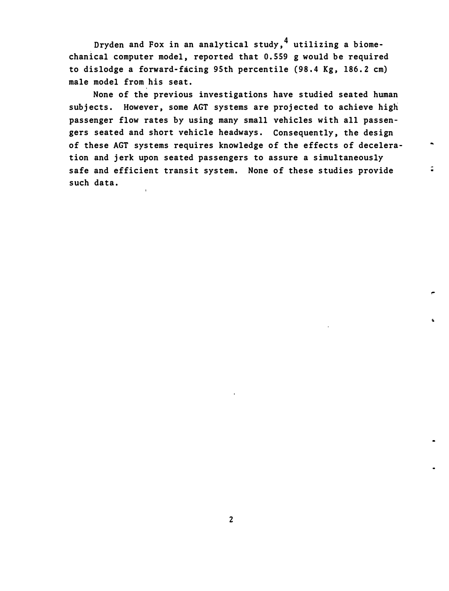Dryden and Fox in an analytical study,  $4$  utilizing a biomechanical computer model, reported that 0.559 g would be required to dislodge a forward-facing 95th percentile (98.4 Kg, 186.2 cm) male model from his seat.

None of the previous investigations have studied seated human subjects. However, some AGT systems are projected to achieve high passenger flow rates by using many small vehicles with all passengers seated and short vehicle headways. Consequently, the design of these AGT systems requires knowledge of the effects of deceleration and jerk upon seated passengers to assure a simultaneously safe and efficient transit system. None of these studies provide such data.

 $\tilde{\bullet}$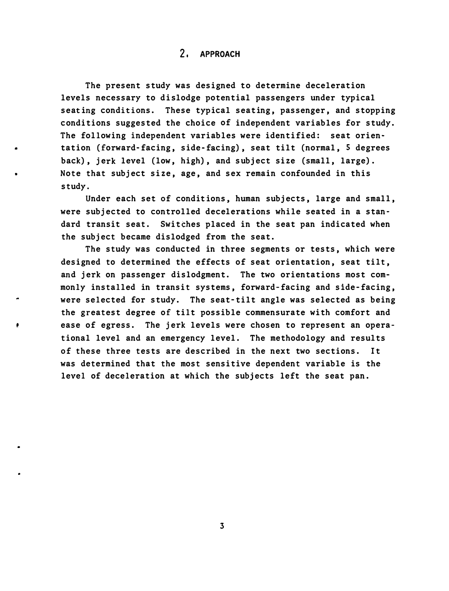## 2. APPROACH

•

The present study was designed to determine deceleration levels necessary to dislodge potential passengers under typical seating conditions. These typical seating, passenger, and stopping conditions suggested the choice of independent variables for study. The following independent variables were identified: seat orientation (forward-facing, side-facing), seat tilt (normal, S degrees back), jerk level (low, high), and subject size (small, large). Note that subject size, age, and sex remain confounded in this study.

Under each set of conditions, human subjects, large and small, were subjected to controlled decelerations while seated in a standard transit seat. Switches placed in the seat pan indicated when the subject became dislodged from the seat.

The study was conducted in three segments or tests, which were designed to determined the effects of seat orientation, seat tilt, and jerk on passenger dislodgment. The two orientations most commonly installed in transit systems, forward-facing and side-facing, were selected for study. The seat-tilt angle was selected as being the greatest degree of tilt possible commensurate with comfort and ease of egress. The jerk levels were chosen to represent an operational level and an emergency level. The methodology and results of these three tests are described in the next two sections. It was determined that the most sensitive dependent variable is the level of deceleration at which the subjects left the seat pan.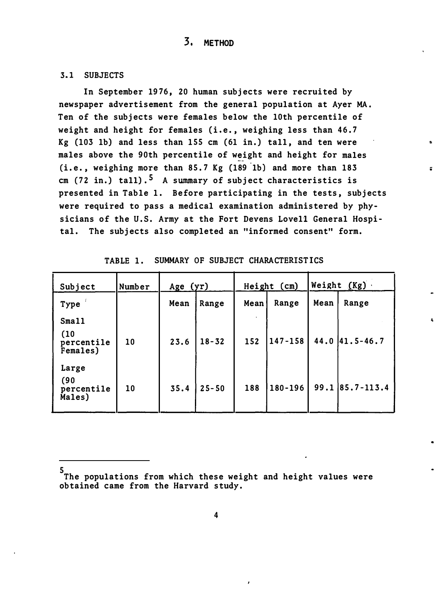#### 3.1 SUBJECTS

In September 1976, 20 human subjects were recruited by newspaper advertisement from the general population at Ayer MA. Ten of the subjects were females below the 10th percentile of weight and height for females (i.e., weighing less than 46.7 Kg (103 1b) and less than 155 cm (61 in.) tall, and ten were males above the 90th percentile of weight and height for males (i. e. , weighing more than 85. 7 Kg (189 lb) and more than 183 cm  $(72 \text{ in.})$  tall).<sup>5</sup> A summary of subject characteristics is presented in Table 1. Before participating in the tests, subjects were required to pass a medical examination administered by physicians of the U. S. Army at the Fort Devens Lovell General Hospital. The subjects also completed an "informed consent" form.

..

| Subject                                 | Number | Age (yr) |           | Height (cm) |         | Weight $(Kg)$ |                   |
|-----------------------------------------|--------|----------|-----------|-------------|---------|---------------|-------------------|
| Type                                    |        | Mean     | Range     | Mean        | Range   | Mean          | Range             |
| Sma11<br>(10)<br>percentile<br>Females) | 10     | 23.6     | $18 - 32$ | 152         | 147-158 |               | 44.0 41.5-46.7    |
| Large<br>(90)<br>percentile<br>Males)   | 10     | 35.4     | $25 - 50$ | 188         | 180-196 |               | $99.1$ 85.7-113.4 |

| TABLE 1. |  |  | SUMMARY OF SUBJECT CHARACTERISTICS |
|----------|--|--|------------------------------------|
|          |  |  |                                    |

<sup>5</sup>  The populations from which these weight and height values were obtained came from the Harvard study.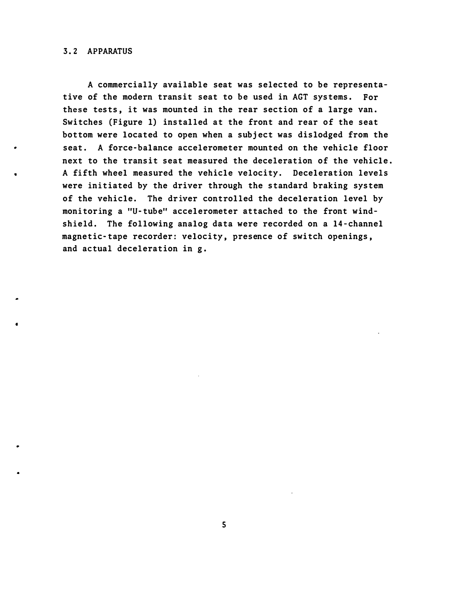#### 3.2 APPARATUS

•

•

•

A commercially available seat was selected to be representative of the modern transit seat to be used in AGT systems. For these tests, it was mounted in the rear section of a large van. Switches (Figure 1) installed at the front and rear of the seat bottom were located to open when a subject was dislodged from the seat. A force-balance accelerometer mounted on the vehicle floor next to the transit seat measured the deceleration of the vehicle. A fifth wheel measured the vehicle velocity. Deceleration levels were initiated by the driver through the standard braking system of the vehicle. The driver controlled the deceleration level by monitoring a "U-tube" accelerometer attached to the front windshield. The following analog data were recorded on a l4-channel magnetic-tape recorder: velocity, presence of switch openings, and actual deceleration in g.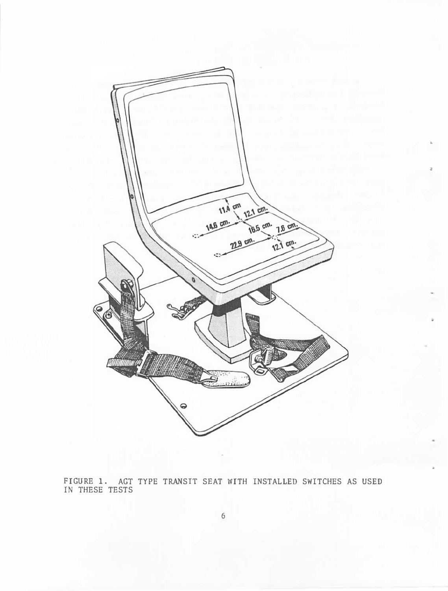

FIGURE 1. AGT TYPE TRANSIT SEAT WITH INSTALLED SWITCHES AS USED IN THESE TESTS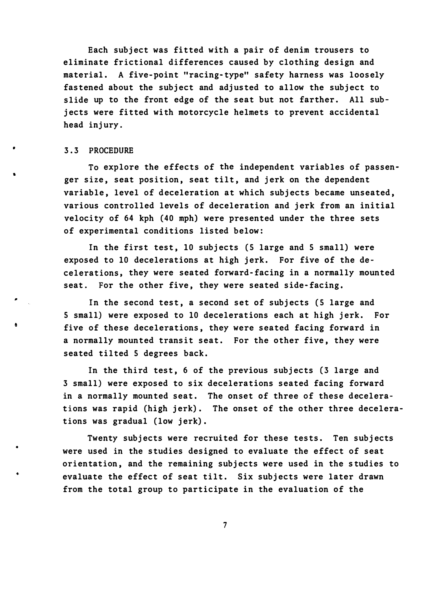Each subject was fitted with a pair of denim trousers to eliminate frictional differences caused by clothing design and material. A five-point "racing-type" safety harness was loosely fastened about the subject and adjusted to allow the subject to slide up to the front edge of the seat but not farther. All subjects were fitted with motorcycle helmets to prevent accidental head injury .

#### 3.3 PROCEDURE

•

•

e

To explore the effects of the independent variables of passenger size, seat position, seat tilt, and jerk on the dependent variable, level of deceleration at which subjects became unseated, various controlled levels of deceleration and jerk from an initial velocity of 64 kph (40 mph) were presented under the three sets of experimental conditions listed below:

In the first test, 10 subjects (5 large and 5 small) were exposed to 10 decelerations at high jerk. For five of the decelerations, they were seated forward-facing in a normally mounted seat. For the other five, they were seated side-facing.

In the second test, a second set of subjects (5 large and 5 small) were exposed to 10 decelerations each at high jerk. For five of these decelerations, they were seated facing forward in a normally mounted transit seat. For the other five, they were seated tilted 5 degrees back.

In the third test, 6 of the previous subjects (3 large and 3 small) were exposed to six decelerations seated facing forward in a normally mounted seat. The onset of three of these decelerations was rapid (high jerk). The onset of the other three decelerations was gradual (low jerk).

Twenty subjects were recruited for these tests. Ten subjects were used in the studies designed to evaluate the effect of seat orientation, and the remaining subjects were used in the studies to evaluate the effect of seat tilt. Six subjects were later drawn from the total group to participate in the evaluation of the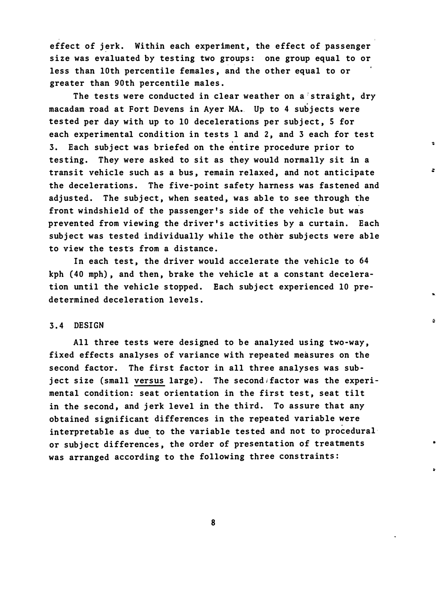effect of jerk. Within each experiment, the effect of passenger size was evaluated by testing two groups: one group equal to or less than 10th percentile females, and the other equal to or greater than 90th percentile males.

The tests were conducted in clear weather on a straight, dry macadam road at Fort Devens in Ayer MA.. Up to 4 subjects were tested per day with up to 10 decelerations per subject, 5 for each experimental condition in tests 1 and 2, and 3 each for test 3. Each subject was briefed on the entire procedure prior to testing. They were asked to sit as they would normally sit in a transit vehicle such as a bus, remain relaxed, and not anticipate the decelerations. The five-point safety harness was fastened and adjusted. The subject, when seated, was able to see through the front windshield of the passenger's side of the vehicle but was prevented from viewing the driver's activities by a curtain. Each subject was tested individually while the other subjects were able to view the tests from a distance.

In each test, the driver would accelerate the vehicle to 64 kph (40 mph), and then, brake the vehicle at a constant deceleration until the vehicle stopped. Bach subject experienced 10 predetermined deceleration levels.

#### 3.4 DESIGN

All three tests were designed to be analyzed using two-way, fixed effects analyses of variance with repeated measures on the second factor. The first factor in all three analyses was subject size (small versus large). The second/factor was the experimental condition: seat orientation in the first test, seat tilt in the second, and jerk level in the third. To assure that any obtained significant differences in the repeated variable were interpretable as due to the variable tested and not to procedural . or subject differences, the order of presentation of treatments was arranged according to the following three constraints: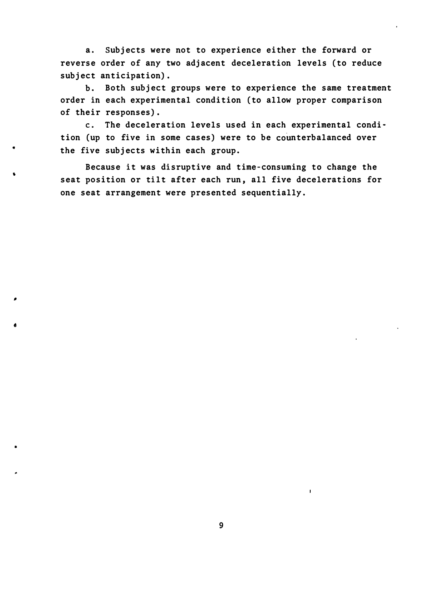a. Subjects were not to experience either the forward or reverse order of any two adjacent deceleration levels (to reduce subject anticipation).

b. Both subject groups were to experience the same treatment order in each experimental condition (to allow proper comparison of their responses).

c. The deceleration levels used in each experimental condition (up to five in some cases) were to be counterbalanced over the five subjects within each group.

Because it was disruptive and time-consuming to change the seat position or tilt after each run, all five decelerations for one seat arrangement were presented sequentially.

•

•

 $\mathbf{I}$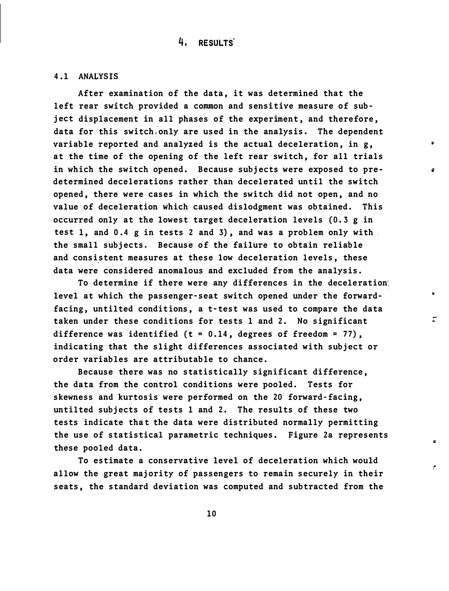#### 4.1 ANALYSIS

After examination of the data, it was determined that the left rear switch provided a common and sensitive measure of subject displacement in all phases of the experiment, and therefore, data for this switch,only are used in the analysis. The dependent variable reported and analyzed is the actual deceleration, in g, at the time of the opening of the left rear switch, for all trials in which the switch opened. Because subjects were exposed to predetermined decelerations rather than decelerated until the switch opened, there were cases in which the switch did not open, and no value of deceleration which caused dislodgment was obtained. This occurred only at the lowest target deceleration levels (0.3 g in test 1, and 0.4 g in tests 2 and 3), and was a problem only with. the small subjects. Because of the failure to obtain reliable and consistent measures at these low deceleration levels, these data were considered anomalous and excluded from the analysis.

To determine if there were any differences in the deceleration, level at which the passenger-seat switch opened under the forwardfacing, untilted conditions, a t-test was used to compare the data taken under these conditions for tests 1 and 2. No significant difference was identified ( $t = 0.14$ , degrees of freedom = 77), indicating that the slight differences associated with subject or order variables are attributable to chance.

ъ,

£

Because there was no statistically significant difference, the data from the control conditions were pooled. Tests for skewness and kurtosis were performed on the 20 forward-facing, untilted subjects of tests 1 and 2. The results of these two tests indicate that the data were distributed normally permitting the use of statistical parametric techniques. Figure 2a represents these pooled data.

To estimate a conservative level of deceleration which would allow the great majority of passengers to remain securely in their seats, the standard deviation was computed and subtracted from the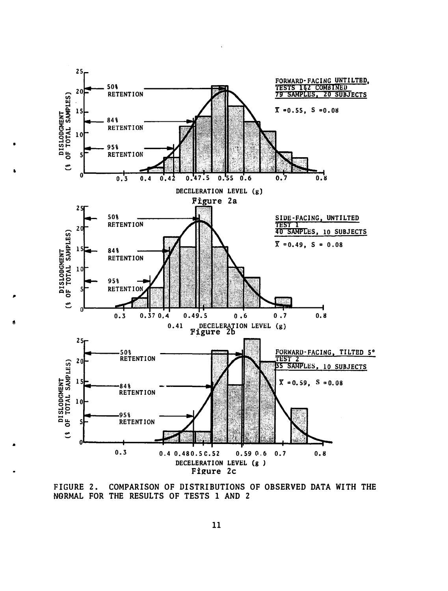

f.

FIGURE 2. COMPARISON OF DISTRIBUTIONS OF OBSERVED DATA WITH THE NORMAL FOR THE RESULTS OF TESTS 1 AND 2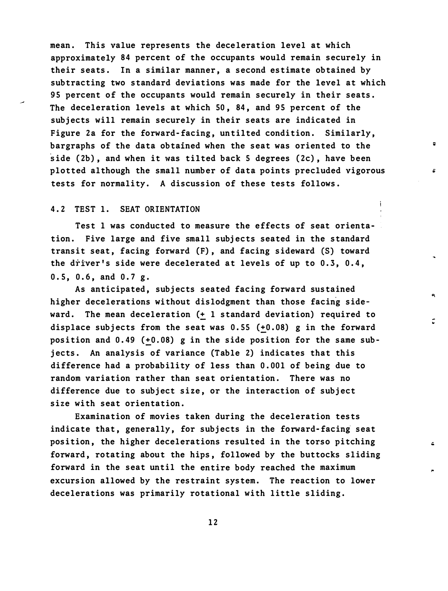mean. This value represents the deceleration level at which approximately 84 percent of the occupants would remain securely in their seats. In a similar manner, a second estimate obtained by subtracting two standard deviations was made for the level at which 95 percent of the occupants would remain securely in their seats. The deceleration levels at which 50, 84, and 95 percent of the subjects will remain securely in their seats are indicated in Figure 2a for the forward-facing, untilted condition. Similarly, bargraphs of the data obtained when the seat was oriented to the side (2b), and when it was tilted back 5 degrees (2c), have been plotted although the small number of data points precluded vigorous tests for normality. A discussion of these tests follows.

#### 4.2 TEST 1. SEAT ORIENTATION

Test 1 was conducted to measure the effects of seat orientation. Five large and five small subjects seated in the standard transit seat, facing forward (F), and facing sideward (5) toward the driver's side were decelerated at levels of up to 0.3, 0.4, 0.5, 0.6, and 0.7 g.

As anticipated, subjects seated facing forward sustained higher decelerations without dislodgment than those facing sideward. The mean deceleration (+ 1 standard deviation) required to displace subjects from the seat was  $0.55$  (+0.08) g in the forward position and 0.49 (+0.08) g in the side position for the same subjects. An analysis of variance (Table 2) indicates that this difference had a probability of less than 0.001 of being due to random variation rather than seat orientation. There was no difference due to subject size, or the interaction of subject size with seat orientation.

- �

Examination of movies taken during the deceleration tests indicate that, generally, for subjects in the forward-facing seat position, the higher decelerations resulted in the torso pitching forward, rotating about the hips, followed by the buttocks sliding forward in the seat until the entire body reached the maximum excursion allowed by the restraint system. The reaction to lower decelerations was primarily rotational with little sliding.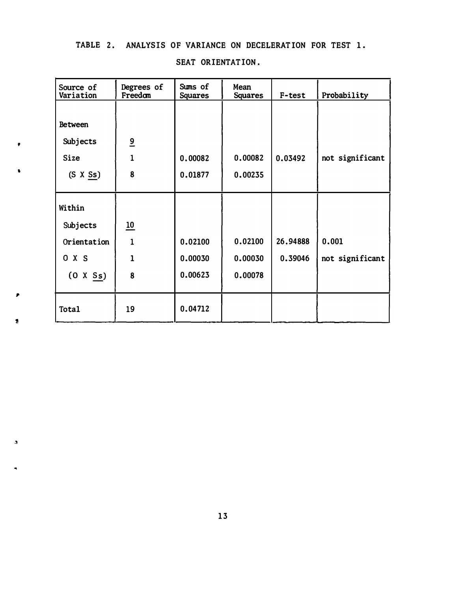## TABLE 2. ANALYSIS OF VARIANCE ON DECELERATION FOR TEST 1.

| Source of<br>Variation | Degrees of<br>Freedom     | Sums of<br><b>Squares</b> | Mean<br><b>Squares</b> | F-test   | Probability     |
|------------------------|---------------------------|---------------------------|------------------------|----------|-----------------|
|                        |                           |                           |                        |          |                 |
| <b>Between</b>         |                           |                           |                        |          |                 |
| Subjects               | $\overline{9}$            |                           |                        |          |                 |
| Size                   | 1                         | 0.00082                   | 0.00082                | 0.03492  | not significant |
| $(S \times Ss)$        | 8                         | 0.01877                   | 0.00235                |          |                 |
|                        |                           |                           |                        |          |                 |
| Within                 |                           |                           |                        |          |                 |
| Subjects               | $\underline{\mathbf{10}}$ |                           |                        |          |                 |
| Orientation            | $\mathbf{1}$              | 0.02100                   | 0.02100                | 26.94888 | 0.001           |
| 0 X S                  | 1                         | 0.00030                   | 0.00030                | 0.39046  | not significant |
| $(0 \times S_s)$       | 8                         | 0.00623                   | 0.00078                |          |                 |
|                        |                           |                           |                        |          |                 |
| Total                  | 19                        | 0.04712                   |                        |          |                 |

,

,

..

 $\mathfrak{g}$ 

 $\pmb{3}$ 

## SEAT ORIENTATION.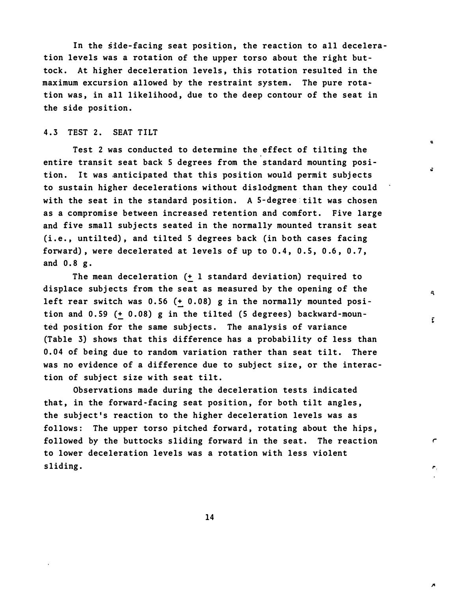In the side-facing seat position, the reaction to all deceleration levels was a rotation of the upper torso about the right buttock. At higher deceleration levels, this rotation resulted in the maximum excursion allowed by the restraint system. The pure rotation was, in all likelihood, due to the deep contour of the seat in the side position.

#### 4. 3 TEST 2. SEAT TILT

Test 2 was conducted to determine the effect of tilting the entire transit seat back 5 degrees from the standard mounting position. It was anticipated that this position would permit subjects to sustain higher decelerations without dislodgment than they could with the seat in the standard position. A 5-degree tilt was chosen as a compromise between increased retention and comfort. Five large and five small subjects seated in the normally mounted transit seat (i. e., untilted) , and tilted 5 degrees back (in both cases facing forward), were decelerated at levels of up to 0.4, 0.5, 0.6, 0.7, and 0.8 g.

The mean deceleration (+ 1 standard deviation) required to displace subjects from the seat as measured by the opening of the left rear switch was 0. 56 (+ 0. 08) g in the normally mounted position and  $0.59$  ( $+0.08$ ) g in the tilted (5 degrees) backward-mounted position for the same subjects. The analysis of variance (Table 3) shows that this difference has a probability of less than 0. 04 of being due to random variation rather than seat tilt. There was no evidence of a difference due to subject size, or the interaction of subject size with seat tilt.

Observations made during the deceleration tests indicated that, in the forward-facing seat position, for both tilt angles, the subject's reaction to the higher deceleration levels was as follows: The upper torso pitched forward, rotating about the hips, followed by the buttocks sliding forward in the seat. The reaction to lower deceleration levels was a rotation with less violent sliding.

r,

 $\epsilon$ 

 $\bullet$ 

 $\mathbf{a}$ 

Ē.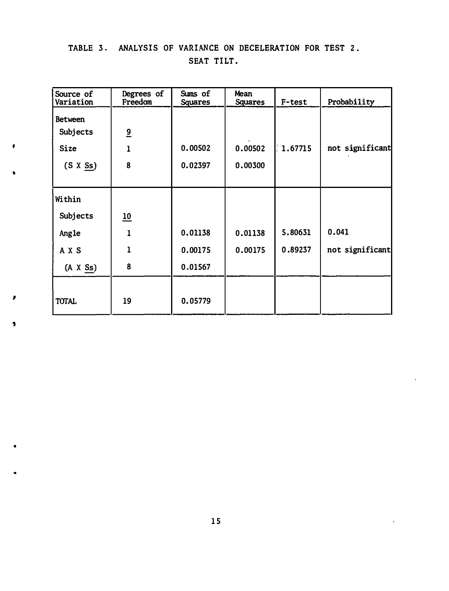# TABLE 3. ANALYSIS OF VARIANCE ON DECELERATION FOR TEST 2. SEAT TILT.

| Source of<br>Variation | Degrees of<br>Freedom | Sums of<br><b>Squares</b> | Mean<br><b>Squares</b> | F-test  | Probability     |
|------------------------|-----------------------|---------------------------|------------------------|---------|-----------------|
| <b>Between</b>         |                       |                           |                        |         |                 |
| Subjects               | $\overline{a}$        |                           |                        |         |                 |
| <b>Size</b>            | $\mathbf{1}$          | 0.00502                   | 0.00502                | 1.67715 | not significant |
| (S X Ss)               | 8                     | 0.02397                   | 0.00300                |         |                 |
|                        |                       |                           |                        |         |                 |
| Within                 |                       |                           |                        |         |                 |
| Subjects               | 10                    |                           |                        |         |                 |
| Angle                  | 1                     | 0.01138                   | 0.01138                | 5.80631 | 0.041           |
| AXS                    | 1                     | 0.00175                   | 0.00175                | 0.89237 | not significant |
| $(A \times Ss)$        | 8                     | 0.01567                   |                        |         |                 |
|                        |                       |                           |                        |         |                 |
| <b>TOTAL</b>           | 19                    | 0.05779                   |                        |         |                 |

,

•

,

,

•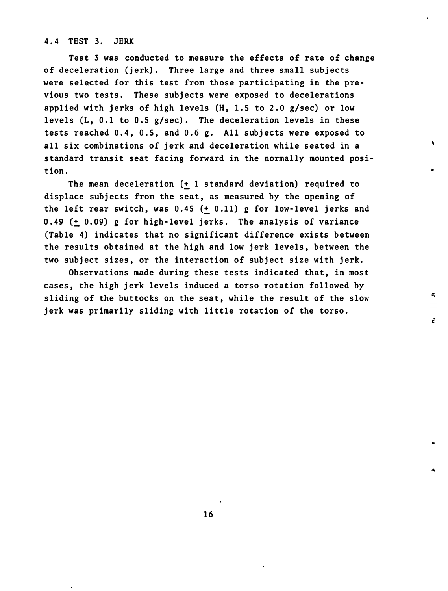#### 4. 4 TEST 3. JERK

Test 3 was conducted to measure the effects of rate of change of deceleration (jerk). Three large and three small subjects were selected for this test from those participating in the previous two tests. These subjects were exposed to decelerations applied with jerks of high levels (H, 1.5 to 2.0  $g/sec$ ) or low levels (L, 0.1 to O.S g/sec). The deceleration levels in these tests reached 0.4, 0.5, and 0.6 g. All subjects were exposed to all six combinations of jerk and deceleration while seated in a standard transit seat facing forward in the normally mounted position.

•

٩

ç

..

The mean deceleration  $(+)$  standard deviation) required to displace subjects from the seat, as measured by the opening of the left rear switch, was  $0.45$  (+ 0.11) g for low-level jerks and 0.49  $(+ 0.09)$  g for high-level jerks. The analysis of variance (Table 4) indicates that no significant difference exists between the results obtained at the high and low jerk levels, between the two subject sizes, or the interaction of subject size with jerk.

Observations made during these tests indicated that, in most cases, the high jerk levels induced a torso rotation followed by sliding of the buttocks on the seat, while the result of the slow jerk was primarily sliding with little rotation of the torso.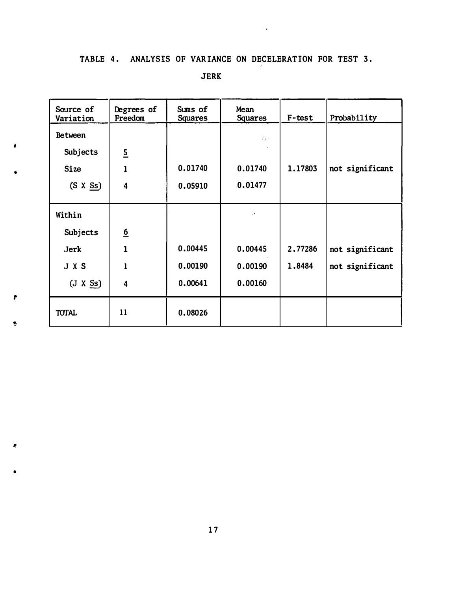## TABLE 4. ANALYSIS OF VARIANCE ON DECELERATION FOR TEST 3.

 $\label{eq:2} \mathcal{L} = \mathcal{L} \left( \mathcal{L} \right) \mathcal{L} \left( \mathcal{L} \right) \mathcal{L} \left( \mathcal{L} \right) \mathcal{L} \left( \mathcal{L} \right)$ 

| Source of<br>Variation | Degrees of<br>Freedom | Sums of<br><b>Squares</b> | Mean<br><b>Squares</b> | F-test  | Probability     |
|------------------------|-----------------------|---------------------------|------------------------|---------|-----------------|
| <b>Between</b>         |                       |                           | yrs in                 |         |                 |
| Subjects               | $\overline{2}$        |                           |                        |         |                 |
| <b>Size</b>            | 1                     | 0.01740                   | 0.01740                | 1.17803 | not significant |
| $(S \times Ss)$        | 4                     | 0.05910                   | 0.01477                |         |                 |
|                        |                       |                           |                        |         |                 |
| Within                 |                       |                           | , с                    |         |                 |
| Subjects               | $\overline{6}$        |                           |                        |         |                 |
| Jerk                   | $\mathbf{1}$          | 0.00445                   | 0.00445                | 2.77286 | not significant |
| J X S                  | 1                     | 0.00190                   | 0.00190                | 1.8484  | not significant |
| (J X Ss)               | 4                     | 0.00641                   | 0.00160                |         |                 |
| <b>TOTAL</b>           | 11                    | 0.08026                   |                        |         |                 |

JERK

•

 $\overline{a}$ 

•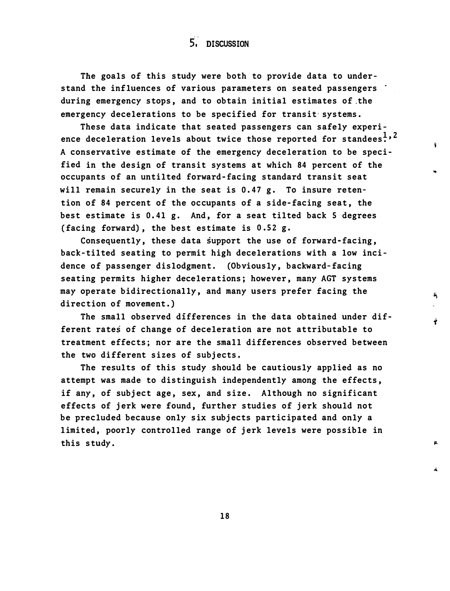# 5. DISCUSSION

The goals of this study were both to provide data to understand the influences of various parameters on seated passengers during emergency stops, and to obtain initial estimates of the emergency decelerations to be specified for transit systems.

These data indicate that seated passengers can safely experience deceleration levels about twice those reported for standees.<sup>1,2</sup> A conservative estimate of the emergency deceleration to be specified in the design of transit systems at which 84 percent of the occupants of an untilted forward-facing standard transit seat will remain securely in the seat is  $0.47$  g. To insure retention of 84 percent of the occupants of a side-facing seat, the best estimate is 0. 41 g. And, for a seat tilted back 5 degrees (facing forward), the best estimate is 0.52 g.

ĩ

Ŷ.

Consequently, these data support the use of forward-facing, back-tilted seating to permit high decelerations with a low incidence of passenger dislodgment. (Obviously, backward-facing seating permits higher decelerations; however, many AGT systems may operate bidirectionally, and many users prefer facing the direction of movement.)

The small observed differences in the data obtained under different rates of change of deceleration are not attributable to treatment effects; nor are the small differences observed between the two different sizes of subjects.

The results of this study should be cautiously applied as no attempt was made to distinguish independently among the effects, if any, of subject age, sex, and size. Although no significant effects of jerk were found, further studies of jerk should not be precluded because only six subjects participated and only a limited, poorly controlled range of jerk levels were possible in this study.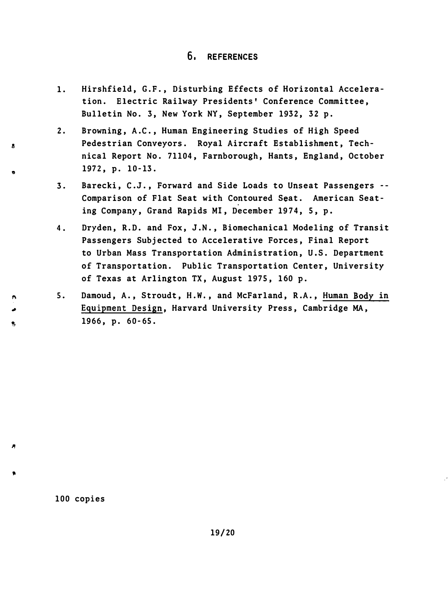### 6. REFERENCES

- 1. Hirshfield, G.F., Disturbing Effects of Horizontal Acceleration. Electric Railway Presidents' Conference Committee, Bulletin No. 3, New York NY, September 1932, 32 p.
- 2. Browning, A.C., Human Engineering Studies of High Speed Pedestrian Conveyors. Royal Aircraft Establishment, Technical Report No. 71104, Farnborough, Hants, England, October 1972, p. 10-13.
- 3. Barecki, C.J., Forward and Side Loads to Unseat Passengers Comparison of Flat Seat with Contoured Seat. American Seating Company, Grand Rapids MI, December 1974, 5, p.
- 4. Dryden, R.D. and Fox, J.N., Biomechanical Modeling of Transit Passengers Subjected to Accelerative Forces, Final Report to Urban Mass Transportation Administration, U.S. Department of Transportation. Public Transportation Center, University of Texas at Arlington TX, August 1975, 160 p.
- 5. Damoud, A., Stroudt, H.W. , and McFarland, R.A., Human Body in Equipment Design, Harvard University Press, Cambridge MA, 1966, p. 60-65.

100 copies

**A** 

e